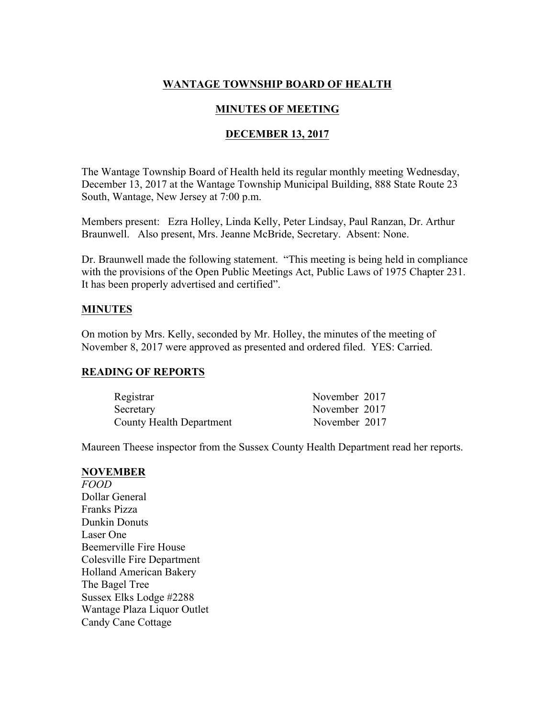# **WANTAGE TOWNSHIP BOARD OF HEALTH**

## **MINUTES OF MEETING**

#### **DECEMBER 13, 2017**

The Wantage Township Board of Health held its regular monthly meeting Wednesday, December 13, 2017 at the Wantage Township Municipal Building, 888 State Route 23 South, Wantage, New Jersey at 7:00 p.m.

Members present: Ezra Holley, Linda Kelly, Peter Lindsay, Paul Ranzan, Dr. Arthur Braunwell. Also present, Mrs. Jeanne McBride, Secretary. Absent: None.

Dr. Braunwell made the following statement. "This meeting is being held in compliance with the provisions of the Open Public Meetings Act, Public Laws of 1975 Chapter 231. It has been properly advertised and certified".

#### **MINUTES**

On motion by Mrs. Kelly, seconded by Mr. Holley, the minutes of the meeting of November 8, 2017 were approved as presented and ordered filed. YES: Carried.

#### **READING OF REPORTS**

| Registrar                       | November 2017 |
|---------------------------------|---------------|
| Secretary                       | November 2017 |
| <b>County Health Department</b> | November 2017 |

Maureen Theese inspector from the Sussex County Health Department read her reports.

#### **NOVEMBER**

*FOOD* Dollar General Franks Pizza Dunkin Donuts Laser One Beemerville Fire House Colesville Fire Department Holland American Bakery The Bagel Tree Sussex Elks Lodge #2288 Wantage Plaza Liquor Outlet Candy Cane Cottage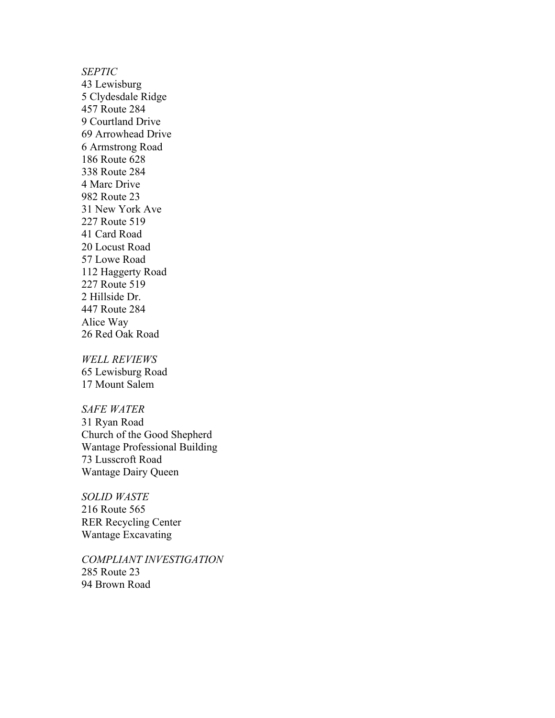*SEPTIC* 43 Lewisburg 5 Clydesdale Ridge 457 Route 284 9 Courtland Drive 69 Arrowhead Drive 6 Armstrong Road 186 Route 628 338 Route 284 4 Marc Drive 982 Route 23 31 New York Ave 227 Route 519 41 Card Road 20 Locust Road 57 Lowe Road 112 Haggerty Road 227 Route 519 2 Hillside Dr. 447 Route 284 Alice Way 26 Red Oak Road

*WELL REVIEWS* 65 Lewisburg Road 17 Mount Salem

*SAFE WATER* 31 Ryan Road Church of the Good Shepherd Wantage Professional Building 73 Lusscroft Road Wantage Dairy Queen

*SOLID WASTE* 216 Route 565 RER Recycling Center Wantage Excavating

*COMPLIANT INVESTIGATION* 285 Route 23 94 Brown Road